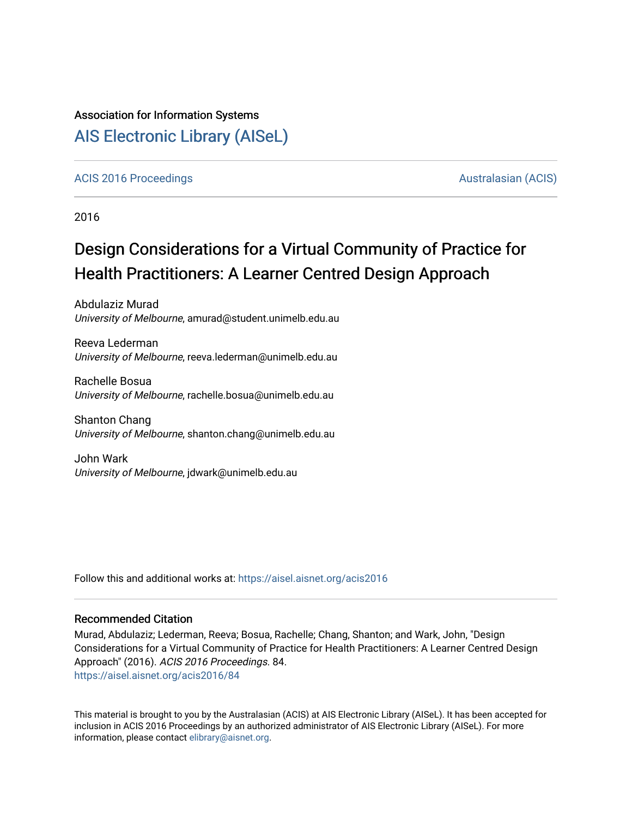### Association for Information Systems

## [AIS Electronic Library \(AISeL\)](https://aisel.aisnet.org/)

#### [ACIS 2016 Proceedings](https://aisel.aisnet.org/acis2016) [Australasian \(ACIS\)](https://aisel.aisnet.org/acis) Australasian (ACIS)

2016

# Design Considerations for a Virtual Community of Practice for Health Practitioners: A Learner Centred Design Approach

Abdulaziz Murad University of Melbourne, amurad@student.unimelb.edu.au

Reeva Lederman University of Melbourne, reeva.lederman@unimelb.edu.au

Rachelle Bosua University of Melbourne, rachelle.bosua@unimelb.edu.au

Shanton Chang University of Melbourne, shanton.chang@unimelb.edu.au

John Wark University of Melbourne, jdwark@unimelb.edu.au

Follow this and additional works at: [https://aisel.aisnet.org/acis2016](https://aisel.aisnet.org/acis2016?utm_source=aisel.aisnet.org%2Facis2016%2F84&utm_medium=PDF&utm_campaign=PDFCoverPages) 

#### Recommended Citation

Murad, Abdulaziz; Lederman, Reeva; Bosua, Rachelle; Chang, Shanton; and Wark, John, "Design Considerations for a Virtual Community of Practice for Health Practitioners: A Learner Centred Design Approach" (2016). ACIS 2016 Proceedings. 84. [https://aisel.aisnet.org/acis2016/84](https://aisel.aisnet.org/acis2016/84?utm_source=aisel.aisnet.org%2Facis2016%2F84&utm_medium=PDF&utm_campaign=PDFCoverPages)

This material is brought to you by the Australasian (ACIS) at AIS Electronic Library (AISeL). It has been accepted for inclusion in ACIS 2016 Proceedings by an authorized administrator of AIS Electronic Library (AISeL). For more information, please contact [elibrary@aisnet.org.](mailto:elibrary@aisnet.org%3E)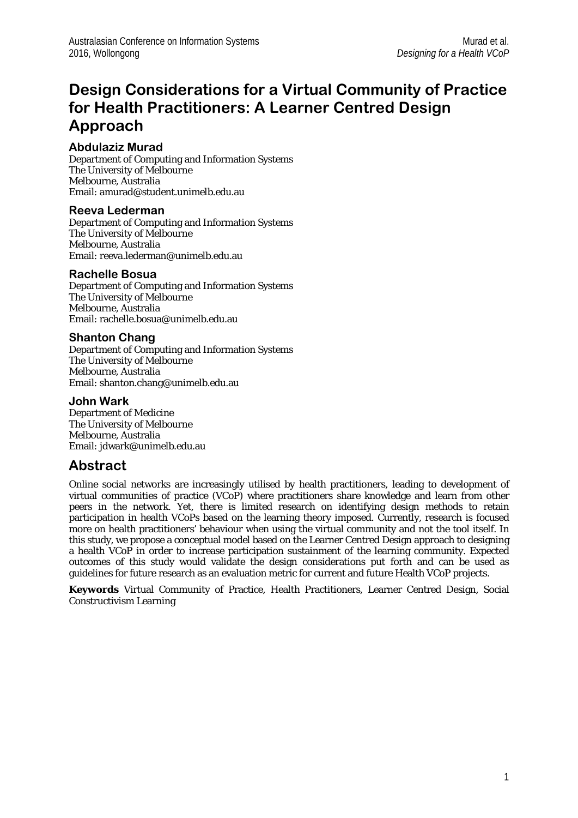## **Design Considerations for a Virtual Community of Practice for Health Practitioners: A Learner Centred Design Approach**

### **Abdulaziz Murad**

Department of Computing and Information Systems The University of Melbourne Melbourne, Australia Email: amurad@student.unimelb.edu.au

#### **Reeva Lederman**

Department of Computing and Information Systems The University of Melbourne Melbourne, Australia Email: reeva.lederman@unimelb.edu.au

#### **Rachelle Bosua**

Department of Computing and Information Systems The University of Melbourne Melbourne, Australia Email: rachelle.bosua@unimelb.edu.au

#### **Shanton Chang**

Department of Computing and Information Systems The University of Melbourne Melbourne, Australia Email: shanton.chang@unimelb.edu.au

#### **John Wark**

Department of Medicine The University of Melbourne Melbourne, Australia Email: jdwark@unimelb.edu.au

## **Abstract**

Online social networks are increasingly utilised by health practitioners, leading to development of virtual communities of practice (VCoP) where practitioners share knowledge and learn from other peers in the network. Yet, there is limited research on identifying design methods to retain participation in health VCoPs based on the learning theory imposed. Currently, research is focused more on health practitioners' behaviour when using the virtual community and not the tool itself. In this study, we propose a conceptual model based on the Learner Centred Design approach to designing a health VCoP in order to increase participation sustainment of the learning community. Expected outcomes of this study would validate the design considerations put forth and can be used as guidelines for future research as an evaluation metric for current and future Health VCoP projects.

**Keywords** Virtual Community of Practice, Health Practitioners, Learner Centred Design, Social Constructivism Learning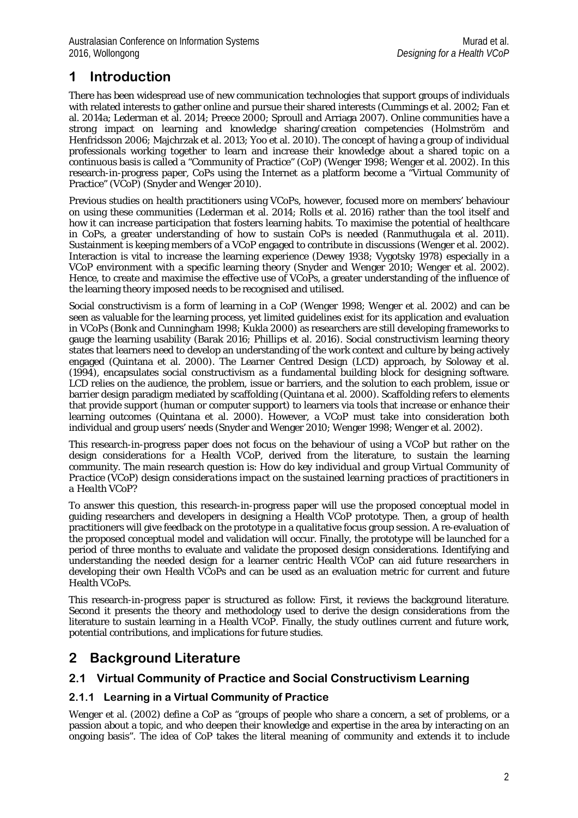## **1 Introduction**

There has been widespread use of new communication technologies that support groups of individuals with related interests to gather online and pursue their shared interests (Cummings et al. 2002; Fan et al. 2014a; Lederman et al. 2014; Preece 2000; Sproull and Arriaga 2007). Online communities have a strong impact on learning and knowledge sharing/creation competencies (Holmström and Henfridsson 2006; Majchrzak et al. 2013; Yoo et al. 2010). The concept of having a group of individual professionals working together to learn and increase their knowledge about a shared topic on a continuous basis is called a "Community of Practice" (CoP) (Wenger 1998; Wenger et al. 2002). In this research-in-progress paper, CoPs using the Internet as a platform become a "Virtual Community of Practice" (VCoP) (Snyder and Wenger 2010).

Previous studies on health practitioners using VCoPs, however, focused more on members' behaviour on using these communities (Lederman et al. 2014; Rolls et al. 2016) rather than the tool itself and how it can increase participation that fosters learning habits. To maximise the potential of healthcare in CoPs, a greater understanding of how to sustain CoPs is needed (Ranmuthugala et al. 2011). Sustainment is keeping members of a VCoP engaged to contribute in discussions (Wenger et al. 2002). Interaction is vital to increase the learning experience (Dewey 1938; Vygotsky 1978) especially in a VCoP environment with a specific learning theory (Snyder and Wenger 2010; Wenger et al. 2002). Hence, to create and maximise the effective use of VCoPs, a greater understanding of the influence of the learning theory imposed needs to be recognised and utilised.

Social constructivism is a form of learning in a CoP (Wenger 1998; Wenger et al. 2002) and can be seen as valuable for the learning process, yet limited guidelines exist for its application and evaluation in VCoPs (Bonk and Cunningham 1998; Kukla 2000) as researchers are still developing frameworks to gauge the learning usability (Barak 2016; Phillips et al. 2016). Social constructivism learning theory states that learners need to develop an understanding of the work context and culture by being actively engaged (Quintana et al. 2000). The Learner Centred Design (LCD) approach, by Soloway et al. (1994), encapsulates social constructivism as a fundamental building block for designing software. LCD relies on the audience, the problem, issue or barriers, and the solution to each problem, issue or barrier design paradigm mediated by scaffolding (Quintana et al. 2000). Scaffolding refers to elements that provide support (human or computer support) to learners via tools that increase or enhance their learning outcomes (Quintana et al. 2000). However, a VCoP must take into consideration both individual and group users' needs (Snyder and Wenger 2010; Wenger 1998; Wenger et al. 2002).

This research-in-progress paper does not focus on the behaviour of using a VCoP but rather on the design considerations for a Health VCoP, derived from the literature, to sustain the learning community. The main research question is: *How do key individual and group Virtual Community of Practice (VCoP) design considerations impact on the sustained learning practices of practitioners in a Health VCoP?*

To answer this question, this research-in-progress paper will use the proposed conceptual model in guiding researchers and developers in designing a Health VCoP prototype. Then, a group of health practitioners will give feedback on the prototype in a qualitative focus group session. A re-evaluation of the proposed conceptual model and validation will occur. Finally, the prototype will be launched for a period of three months to evaluate and validate the proposed design considerations. Identifying and understanding the needed design for a learner centric Health VCoP can aid future researchers in developing their own Health VCoPs and can be used as an evaluation metric for current and future Health VCoPs.

This research-in-progress paper is structured as follow: First, it reviews the background literature. Second it presents the theory and methodology used to derive the design considerations from the literature to sustain learning in a Health VCoP. Finally, the study outlines current and future work, potential contributions, and implications for future studies.

## **2 Background Literature**

### **2.1 Virtual Community of Practice and Social Constructivism Learning**

### **2.1.1 Learning in a Virtual Community of Practice**

Wenger et al. (2002) define a CoP as "groups of people who share a concern, a set of problems, or a passion about a topic, and who deepen their knowledge and expertise in the area by interacting on an ongoing basis". The idea of CoP takes the literal meaning of community and extends it to include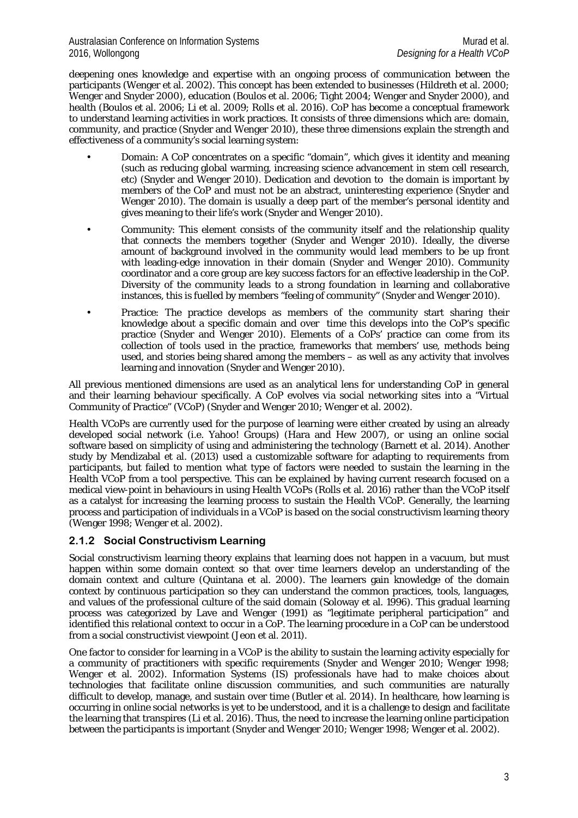#### Australasian Conference on Information Systems Murad et al. Murad et al. 2016, Wollongong *Designing for a Health VCoP*

deepening ones knowledge and expertise with an ongoing process of communication between the participants (Wenger et al. 2002). This concept has been extended to businesses (Hildreth et al. 2000; Wenger and Snyder 2000), education (Boulos et al. 2006; Tight 2004; Wenger and Snyder 2000), and health (Boulos et al. 2006; Li et al. 2009; Rolls et al. 2016). CoP has become a conceptual framework to understand learning activities in work practices. It consists of three dimensions which are: domain, community, and practice (Snyder and Wenger 2010), these three dimensions explain the strength and effectiveness of a community's social learning system:

- Domain: A CoP concentrates on a specific "domain", which gives it identity and meaning (such as reducing global warming, increasing science advancement in stem cell research, etc) (Snyder and Wenger 2010). Dedication and devotion to the domain is important by members of the CoP and must not be an abstract, uninteresting experience (Snyder and Wenger 2010). The domain is usually a deep part of the member's personal identity and gives meaning to their life's work (Snyder and Wenger 2010).
- Community: This element consists of the community itself and the relationship quality that connects the members together (Snyder and Wenger 2010). Ideally, the diverse amount of background involved in the community would lead members to be up front with leading-edge innovation in their domain (Snyder and Wenger 2010). Community coordinator and a core group are key success factors for an effective leadership in the CoP. Diversity of the community leads to a strong foundation in learning and collaborative instances, this is fuelled by members "feeling of community" (Snyder and Wenger 2010).
- Practice: The practice develops as members of the community start sharing their knowledge about a specific domain and over time this develops into the CoP's specific practice (Snyder and Wenger 2010). Elements of a CoPs' practice can come from its collection of tools used in the practice, frameworks that members' use, methods being used, and stories being shared among the members – as well as any activity that involves learning and innovation (Snyder and Wenger 2010).

All previous mentioned dimensions are used as an analytical lens for understanding CoP in general and their learning behaviour specifically. A CoP evolves via social networking sites into a "Virtual Community of Practice" (VCoP) (Snyder and Wenger 2010; Wenger et al. 2002).

Health VCoPs are currently used for the purpose of learning were either created by using an already developed social network (i.e. Yahoo! Groups) (Hara and Hew 2007), or using an online social software based on simplicity of using and administering the technology (Barnett et al. 2014). Another study by Mendizabal et al. (2013) used a customizable software for adapting to requirements from participants, but failed to mention what type of factors were needed to sustain the learning in the Health VCoP from a tool perspective. This can be explained by having current research focused on a medical view-point in behaviours in using Health VCoPs (Rolls et al. 2016) rather than the VCoP itself as a catalyst for increasing the learning process to sustain the Health VCoP. Generally, the learning process and participation of individuals in a VCoP is based on the social constructivism learning theory (Wenger 1998; Wenger et al. 2002).

### **2.1.2 Social Constructivism Learning**

Social constructivism learning theory explains that learning does not happen in a vacuum, but must happen within some domain context so that over time learners develop an understanding of the domain context and culture (Quintana et al. 2000). The learners gain knowledge of the domain context by continuous participation so they can understand the common practices, tools, languages, and values of the professional culture of the said domain (Soloway et al. 1996). This gradual learning process was categorized by Lave and Wenger (1991) as "legitimate peripheral participation" and identified this relational context to occur in a CoP. The learning procedure in a CoP can be understood from a social constructivist viewpoint (Jeon et al. 2011).

One factor to consider for learning in a VCoP is the ability to sustain the learning activity especially for a community of practitioners with specific requirements (Snyder and Wenger 2010; Wenger 1998; Wenger et al. 2002). Information Systems (IS) professionals have had to make choices about technologies that facilitate online discussion communities, and such communities are naturally difficult to develop, manage, and sustain over time (Butler et al. 2014). In healthcare, how learning is occurring in online social networks is yet to be understood, and it is a challenge to design and facilitate the learning that transpires (Li et al. 2016). Thus, the need to increase the learning online participation between the participants is important (Snyder and Wenger 2010; Wenger 1998; Wenger et al. 2002).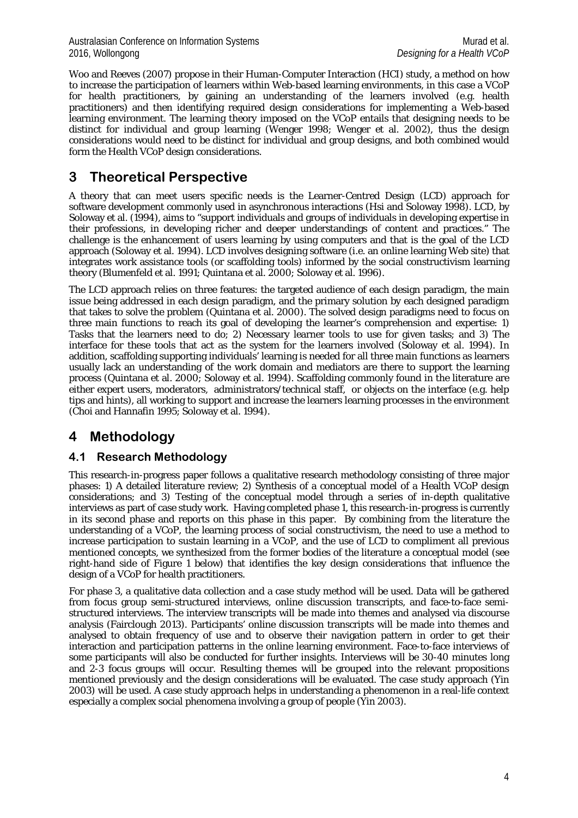Woo and Reeves (2007) propose in their Human-Computer Interaction (HCI) study, a method on how to increase the participation of learners within Web-based learning environments, in this case a VCoP for health practitioners, by gaining an understanding of the learners involved (e.g. health practitioners) and then identifying required design considerations for implementing a Web-based learning environment. The learning theory imposed on the VCoP entails that designing needs to be distinct for individual and group learning (Wenger 1998; Wenger et al. 2002), thus the design considerations would need to be distinct for individual and group designs, and both combined would form the Health VCoP design considerations.

## **3 Theoretical Perspective**

A theory that can meet users specific needs is the Learner-Centred Design (LCD) approach for software development commonly used in asynchronous interactions (Hsi and Soloway 1998). LCD, by Soloway et al. (1994), aims to "support individuals and groups of individuals in developing expertise in their professions, in developing richer and deeper understandings of content and practices." The challenge is the enhancement of users learning by using computers and that is the goal of the LCD approach (Soloway et al. 1994). LCD involves designing software (i.e. an online learning Web site) that integrates work assistance tools (or scaffolding tools) informed by the social constructivism learning theory (Blumenfeld et al. 1991; Quintana et al. 2000; Soloway et al. 1996).

The LCD approach relies on three features: the targeted audience of each design paradigm, the main issue being addressed in each design paradigm, and the primary solution by each designed paradigm that takes to solve the problem (Quintana et al. 2000). The solved design paradigms need to focus on three main functions to reach its goal of developing the learner's comprehension and expertise: 1) Tasks that the learners need to do; 2) Necessary learner tools to use for given tasks; and 3) The interface for these tools that act as the system for the learners involved (Soloway et al. 1994). In addition, scaffolding supporting individuals' learning is needed for all three main functions as learners usually lack an understanding of the work domain and mediators are there to support the learning process (Quintana et al. 2000; Soloway et al. 1994). Scaffolding commonly found in the literature are either expert users, moderators, administrators/technical staff, or objects on the interface (e.g. help tips and hints), all working to support and increase the learners learning processes in the environment (Choi and Hannafin 1995; Soloway et al. 1994).

## **4 Methodology**

### **4.1 Research Methodology**

This research-in-progress paper follows a qualitative research methodology consisting of three major phases: 1) A detailed literature review; 2) Synthesis of a conceptual model of a Health VCoP design considerations; and 3) Testing of the conceptual model through a series of in-depth qualitative interviews as part of case study work. Having completed phase 1, this research-in-progress is currently in its second phase and reports on this phase in this paper. By combining from the literature the understanding of a VCoP, the learning process of social constructivism, the need to use a method to increase participation to sustain learning in a VCoP, and the use of LCD to compliment all previous mentioned concepts, we synthesized from the former bodies of the literature a conceptual model (see right-hand side of Figure 1 below) that identifies the key design considerations that influence the design of a VCoP for health practitioners.

For phase 3, a qualitative data collection and a case study method will be used. Data will be gathered from focus group semi-structured interviews, online discussion transcripts, and face-to-face semistructured interviews. The interview transcripts will be made into themes and analysed via discourse analysis (Fairclough 2013). Participants' online discussion transcripts will be made into themes and analysed to obtain frequency of use and to observe their navigation pattern in order to get their interaction and participation patterns in the online learning environment. Face-to-face interviews of some participants will also be conducted for further insights. Interviews will be 30-40 minutes long and 2-3 focus groups will occur. Resulting themes will be grouped into the relevant propositions mentioned previously and the design considerations will be evaluated. The case study approach (Yin 2003) will be used. A case study approach helps in understanding a phenomenon in a real-life context especially a complex social phenomena involving a group of people (Yin 2003).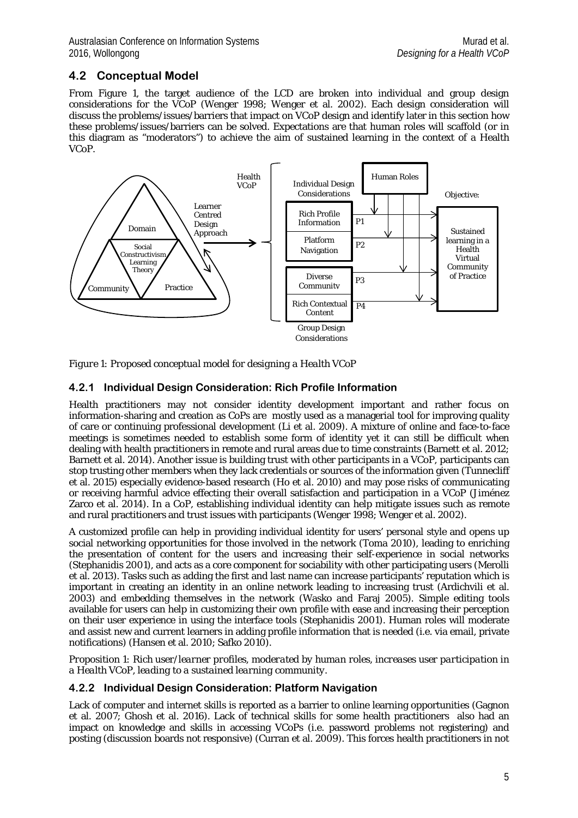### **4.2 Conceptual Model**

From Figure 1, the target audience of the LCD are broken into individual and group design considerations for the VCoP (Wenger 1998; Wenger et al. 2002). Each design consideration will discuss the problems/issues/barriers that impact on VCoP design and identify later in this section how these problems/issues/barriers can be solved. Expectations are that human roles will scaffold (or in this diagram as "moderators") to achieve the aim of sustained learning in the context of a Health VCoP.



*Figure 1: Proposed conceptual model for designing a Health VCoP*

### **4.2.1 Individual Design Consideration: Rich Profile Information**

Health practitioners may not consider identity development important and rather focus on information-sharing and creation as CoPs are mostly used as a managerial tool for improving quality of care or continuing professional development (Li et al. 2009). A mixture of online and face-to-face meetings is sometimes needed to establish some form of identity yet it can still be difficult when dealing with health practitioners in remote and rural areas due to time constraints (Barnett et al. 2012; Barnett et al. 2014). Another issue is building trust with other participants in a VCoP, participants can stop trusting other members when they lack credentials or sources of the information given (Tunnecliff et al. 2015) especially evidence-based research (Ho et al. 2010) and may pose risks of communicating or receiving harmful advice effecting their overall satisfaction and participation in a VCoP (Jiménez Zarco et al. 2014). In a CoP, establishing individual identity can help mitigate issues such as remote and rural practitioners and trust issues with participants (Wenger 1998; Wenger et al. 2002).

A customized profile can help in providing individual identity for users' personal style and opens up social networking opportunities for those involved in the network (Toma 2010), leading to enriching the presentation of content for the users and increasing their self-experience in social networks (Stephanidis 2001), and acts as a core component for sociability with other participating users (Merolli et al. 2013). Tasks such as adding the first and last name can increase participants' reputation which is important in creating an identity in an online network leading to increasing trust (Ardichvili et al. 2003) and embedding themselves in the network (Wasko and Faraj 2005). Simple editing tools available for users can help in customizing their own profile with ease and increasing their perception on their user experience in using the interface tools (Stephanidis 2001). Human roles will moderate and assist new and current learners in adding profile information that is needed (i.e. via email, private notifications) (Hansen et al. 2010; Safko 2010).

*Proposition 1: Rich user/learner profiles, moderated by human roles, increases user participation in a Health VCoP, leading to a sustained learning community.*

#### **4.2.2 Individual Design Consideration: Platform Navigation**

Lack of computer and internet skills is reported as a barrier to online learning opportunities (Gagnon et al. 2007; Ghosh et al. 2016). Lack of technical skills for some health practitioners also had an impact on knowledge and skills in accessing VCoPs (i.e. password problems not registering) and posting (discussion boards not responsive) (Curran et al. 2009). This forces health practitioners in not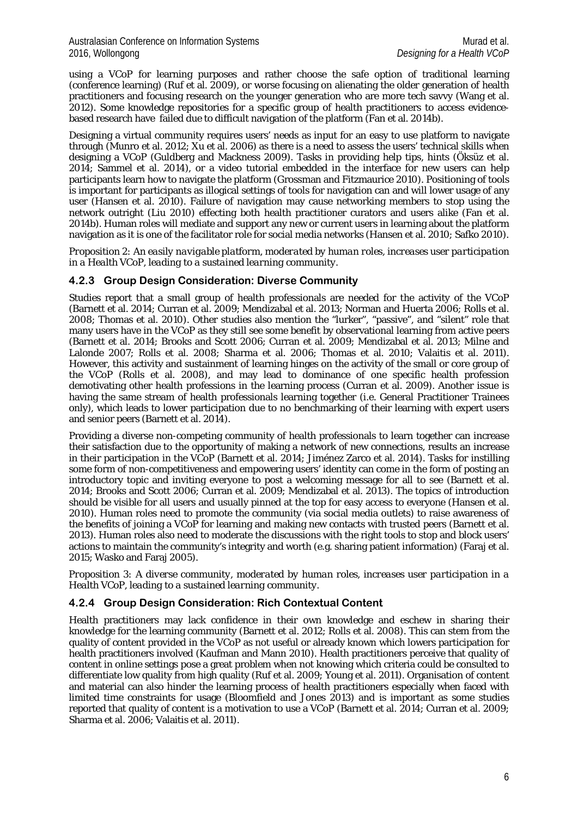using a VCoP for learning purposes and rather choose the safe option of traditional learning (conference learning) (Ruf et al. 2009), or worse focusing on alienating the older generation of health practitioners and focusing research on the younger generation who are more tech savvy (Wang et al. 2012). Some knowledge repositories for a specific group of health practitioners to access evidencebased research have failed due to difficult navigation of the platform (Fan et al. 2014b).

Designing a virtual community requires users' needs as input for an easy to use platform to navigate through (Munro et al. 2012; Xu et al. 2006) as there is a need to assess the users' technical skills when designing a VCoP (Guldberg and Mackness 2009). Tasks in providing help tips, hints (Öksüz et al. 2014; Sammel et al. 2014), or a video tutorial embedded in the interface for new users can help participants learn how to navigate the platform (Grossman and Fitzmaurice 2010). Positioning of tools is important for participants as illogical settings of tools for navigation can and will lower usage of any user (Hansen et al. 2010). Failure of navigation may cause networking members to stop using the network outright (Liu 2010) effecting both health practitioner curators and users alike (Fan et al. 2014b). Human roles will mediate and support any new or current users in learning about the platform navigation as it is one of the facilitator role for social media networks (Hansen et al. 2010; Safko 2010).

*Proposition 2: An easily navigable platform, moderated by human roles, increases user participation in a Health VCoP, leading to a sustained learning community.*

#### **4.2.3 Group Design Consideration: Diverse Community**

Studies report that a small group of health professionals are needed for the activity of the VCoP (Barnett et al. 2014; Curran et al. 2009; Mendizabal et al. 2013; Norman and Huerta 2006; Rolls et al. 2008; Thomas et al. 2010). Other studies also mention the "lurker", "passive", and "silent" role that many users have in the VCoP as they still see some benefit by observational learning from active peers (Barnett et al. 2014; Brooks and Scott 2006; Curran et al. 2009; Mendizabal et al. 2013; Milne and Lalonde 2007; Rolls et al. 2008; Sharma et al. 2006; Thomas et al. 2010; Valaitis et al. 2011). However, this activity and sustainment of learning hinges on the activity of the small or core group of the VCoP (Rolls et al. 2008), and may lead to dominance of one specific health profession demotivating other health professions in the learning process (Curran et al. 2009). Another issue is having the same stream of health professionals learning together (i.e. General Practitioner Trainees only), which leads to lower participation due to no benchmarking of their learning with expert users and senior peers (Barnett et al. 2014).

Providing a diverse non-competing community of health professionals to learn together can increase their satisfaction due to the opportunity of making a network of new connections, results an increase in their participation in the VCoP (Barnett et al. 2014; Jiménez Zarco et al. 2014). Tasks for instilling some form of non-competitiveness and empowering users' identity can come in the form of posting an introductory topic and inviting everyone to post a welcoming message for all to see (Barnett et al. 2014; Brooks and Scott 2006; Curran et al. 2009; Mendizabal et al. 2013). The topics of introduction should be visible for all users and usually pinned at the top for easy access to everyone (Hansen et al. 2010). Human roles need to promote the community (via social media outlets) to raise awareness of the benefits of joining a VCoP for learning and making new contacts with trusted peers (Barnett et al. 2013). Human roles also need to moderate the discussions with the right tools to stop and block users' actions to maintain the community's integrity and worth (e.g. sharing patient information) (Faraj et al. 2015; Wasko and Faraj 2005).

*Proposition 3: A diverse community, moderated by human roles, increases user participation in a Health VCoP, leading to a sustained learning community.*

#### **4.2.4 Group Design Consideration: Rich Contextual Content**

Health practitioners may lack confidence in their own knowledge and eschew in sharing their knowledge for the learning community (Barnett et al. 2012; Rolls et al. 2008). This can stem from the quality of content provided in the VCoP as not useful or already known which lowers participation for health practitioners involved (Kaufman and Mann 2010). Health practitioners perceive that quality of content in online settings pose a great problem when not knowing which criteria could be consulted to differentiate low quality from high quality (Ruf et al. 2009; Young et al. 2011). Organisation of content and material can also hinder the learning process of health practitioners especially when faced with limited time constraints for usage (Bloomfield and Jones 2013) and is important as some studies reported that quality of content is a motivation to use a VCoP (Barnett et al. 2014; Curran et al. 2009; Sharma et al. 2006; Valaitis et al. 2011).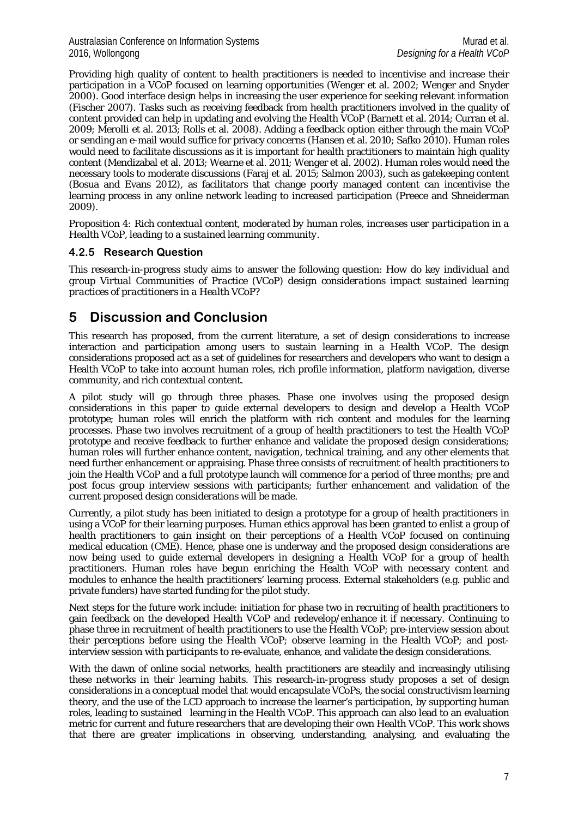Providing high quality of content to health practitioners is needed to incentivise and increase their participation in a VCoP focused on learning opportunities (Wenger et al. 2002; Wenger and Snyder 2000). Good interface design helps in increasing the user experience for seeking relevant information (Fischer 2007). Tasks such as receiving feedback from health practitioners involved in the quality of content provided can help in updating and evolving the Health VCoP (Barnett et al. 2014; Curran et al. 2009; Merolli et al. 2013; Rolls et al. 2008). Adding a feedback option either through the main VCoP or sending an e-mail would suffice for privacy concerns (Hansen et al. 2010; Safko 2010). Human roles would need to facilitate discussions as it is important for health practitioners to maintain high quality content (Mendizabal et al. 2013; Wearne et al. 2011; Wenger et al. 2002). Human roles would need the necessary tools to moderate discussions (Faraj et al. 2015; Salmon 2003), such as gatekeeping content (Bosua and Evans 2012), as facilitators that change poorly managed content can incentivise the learning process in any online network leading to increased participation (Preece and Shneiderman 2009).

*Proposition 4: Rich contextual content, moderated by human roles, increases user participation in a Health VCoP, leading to a sustained learning community.*

### **4.2.5 Research Question**

This research-in-progress study aims to answer the following question: *How do key individual and group Virtual Communities of Practice (VCoP) design considerations impact sustained learning practices of practitioners in a Health VCoP?*

## **5 Discussion and Conclusion**

This research has proposed, from the current literature, a set of design considerations to increase interaction and participation among users to sustain learning in a Health VCoP. The design considerations proposed act as a set of guidelines for researchers and developers who want to design a Health VCoP to take into account human roles, rich profile information, platform navigation, diverse community, and rich contextual content.

A pilot study will go through three phases. Phase one involves using the proposed design considerations in this paper to guide external developers to design and develop a Health VCoP prototype; human roles will enrich the platform with rich content and modules for the learning processes. Phase two involves recruitment of a group of health practitioners to test the Health VCoP prototype and receive feedback to further enhance and validate the proposed design considerations; human roles will further enhance content, navigation, technical training, and any other elements that need further enhancement or appraising. Phase three consists of recruitment of health practitioners to join the Health VCoP and a full prototype launch will commence for a period of three months; pre and post focus group interview sessions with participants; further enhancement and validation of the current proposed design considerations will be made.

Currently, a pilot study has been initiated to design a prototype for a group of health practitioners in using a VCoP for their learning purposes. Human ethics approval has been granted to enlist a group of health practitioners to gain insight on their perceptions of a Health VCoP focused on continuing medical education (CME). Hence, phase one is underway and the proposed design considerations are now being used to guide external developers in designing a Health VCoP for a group of health practitioners. Human roles have begun enriching the Health VCoP with necessary content and modules to enhance the health practitioners' learning process. External stakeholders (e.g. public and private funders) have started funding for the pilot study.

Next steps for the future work include: initiation for phase two in recruiting of health practitioners to gain feedback on the developed Health VCoP and redevelop/enhance it if necessary. Continuing to phase three in recruitment of health practitioners to use the Health VCoP; pre-interview session about their perceptions before using the Health VCoP; observe learning in the Health VCoP; and postinterview session with participants to re-evaluate, enhance, and validate the design considerations.

With the dawn of online social networks, health practitioners are steadily and increasingly utilising these networks in their learning habits. This research-in-progress study proposes a set of design considerations in a conceptual model that would encapsulate VCoPs, the social constructivism learning theory, and the use of the LCD approach to increase the learner's participation, by supporting human roles, leading to sustained learning in the Health VCoP. This approach can also lead to an evaluation metric for current and future researchers that are developing their own Health VCoP. This work shows that there are greater implications in observing, understanding, analysing, and evaluating the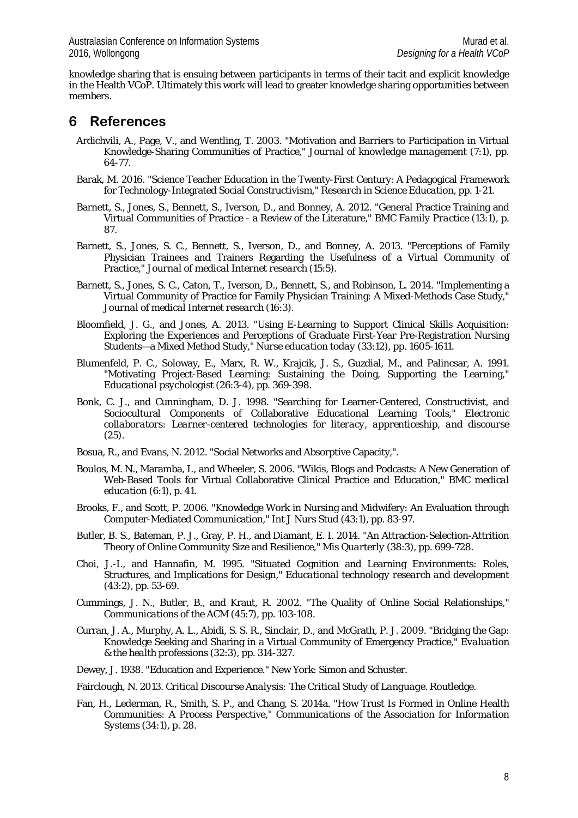knowledge sharing that is ensuing between participants in terms of their tacit and explicit knowledge in the Health VCoP. Ultimately this work will lead to greater knowledge sharing opportunities between members.

## **6 References**

- Ardichvili, A., Page, V., and Wentling, T. 2003. "Motivation and Barriers to Participation in Virtual Knowledge-Sharing Communities of Practice," *Journal of knowledge management* (7:1), pp. 64-77.
- Barak, M. 2016. "Science Teacher Education in the Twenty-First Century: A Pedagogical Framework for Technology-Integrated Social Constructivism," *Research in Science Education*, pp. 1-21.
- Barnett, S., Jones, S., Bennett, S., Iverson, D., and Bonney, A. 2012. "General Practice Training and Virtual Communities of Practice - a Review of the Literature," *BMC Family Practice* (13:1), p. 87.
- Barnett, S., Jones, S. C., Bennett, S., Iverson, D., and Bonney, A. 2013. "Perceptions of Family Physician Trainees and Trainers Regarding the Usefulness of a Virtual Community of Practice," *Journal of medical Internet research* (15:5).
- Barnett, S., Jones, S. C., Caton, T., Iverson, D., Bennett, S., and Robinson, L. 2014. "Implementing a Virtual Community of Practice for Family Physician Training: A Mixed-Methods Case Study," *Journal of medical Internet research* (16:3).
- Bloomfield, J. G., and Jones, A. 2013. "Using E-Learning to Support Clinical Skills Acquisition: Exploring the Experiences and Perceptions of Graduate First-Year Pre-Registration Nursing Students—a Mixed Method Study," *Nurse education today* (33:12), pp. 1605-1611.
- Blumenfeld, P. C., Soloway, E., Marx, R. W., Krajcik, J. S., Guzdial, M., and Palincsar, A. 1991. "Motivating Project-Based Learning: Sustaining the Doing, Supporting the Learning," *Educational psychologist* (26:3-4), pp. 369-398.
- Bonk, C. J., and Cunningham, D. J. 1998. "Searching for Learner-Centered, Constructivist, and Sociocultural Components of Collaborative Educational Learning Tools," *Electronic collaborators: Learner-centered technologies for literacy, apprenticeship, and discourse* (25).
- Bosua, R., and Evans, N. 2012. "Social Networks and Absorptive Capacity,".
- Boulos, M. N., Maramba, I., and Wheeler, S. 2006. "Wikis, Blogs and Podcasts: A New Generation of Web-Based Tools for Virtual Collaborative Clinical Practice and Education," *BMC medical education* (6:1), p. 41.
- Brooks, F., and Scott, P. 2006. "Knowledge Work in Nursing and Midwifery: An Evaluation through Computer-Mediated Communication," *Int J Nurs Stud* (43:1), pp. 83-97.
- Butler, B. S., Bateman, P. J., Gray, P. H., and Diamant, E. I. 2014. "An Attraction-Selection-Attrition Theory of Online Community Size and Resilience," *Mis Quarterly* (38:3), pp. 699-728.
- Choi, J.-I., and Hannafin, M. 1995. "Situated Cognition and Learning Environments: Roles, Structures, and Implications for Design," *Educational technology research and development* (43:2), pp. 53-69.
- Cummings, J. N., Butler, B., and Kraut, R. 2002. "The Quality of Online Social Relationships," *Communications of the ACM* (45:7), pp. 103-108.
- Curran, J. A., Murphy, A. L., Abidi, S. S. R., Sinclair, D., and McGrath, P. J. 2009. "Bridging the Gap: Knowledge Seeking and Sharing in a Virtual Community of Emergency Practice," *Evaluation & the health professions* (32:3), pp. 314-327.
- Dewey, J. 1938. "Education and Experience." New York: Simon and Schuster.
- Fairclough, N. 2013. *Critical Discourse Analysis: The Critical Study of Language*. Routledge.
- Fan, H., Lederman, R., Smith, S. P., and Chang, S. 2014a. "How Trust Is Formed in Online Health Communities: A Process Perspective," *Communications of the Association for Information Systems* (34:1), p. 28.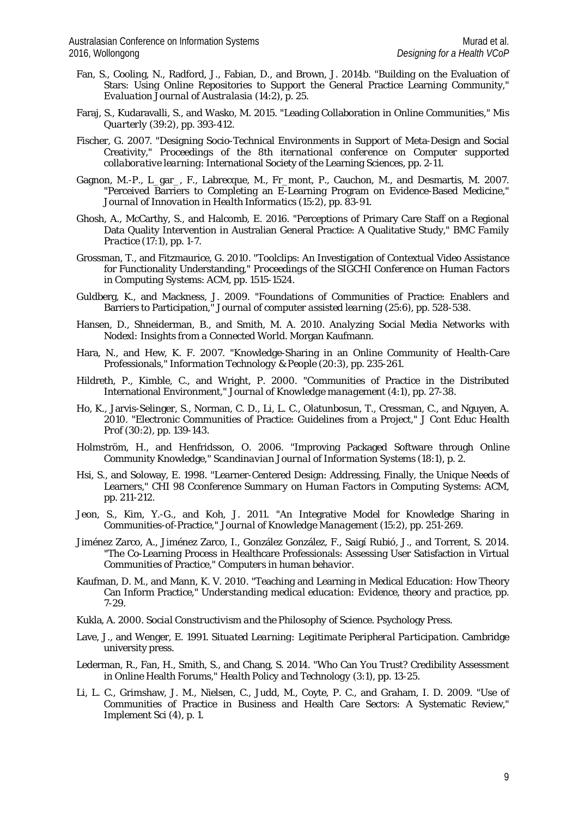- Fan, S., Cooling, N., Radford, J., Fabian, D., and Brown, J. 2014b. "Building on the Evaluation of Stars: Using Online Repositories to Support the General Practice Learning Community," *Evaluation Journal of Australasia* (14:2), p. 25.
- Faraj, S., Kudaravalli, S., and Wasko, M. 2015. "Leading Collaboration in Online Communities," *Mis Quarterly* (39:2), pp. 393-412.
- Fischer, G. 2007. "Designing Socio-Technical Environments in Support of Meta-Design and Social Creativity," *Proceedings of the 8th iternational conference on Computer supported collaborative learning*: International Society of the Learning Sciences, pp. 2-11.
- Gagnon, M.-P., L\_gar\_, F., Labrecque, M., Fr\_mont, P., Cauchon, M., and Desmartis, M. 2007. "Perceived Barriers to Completing an E-Learning Program on Evidence-Based Medicine," *Journal of Innovation in Health Informatics* (15:2), pp. 83-91.
- Ghosh, A., McCarthy, S., and Halcomb, E. 2016. "Perceptions of Primary Care Staff on a Regional Data Quality Intervention in Australian General Practice: A Qualitative Study," *BMC Family Practice* (17:1), pp. 1-7.
- Grossman, T., and Fitzmaurice, G. 2010. "Toolclips: An Investigation of Contextual Video Assistance for Functionality Understanding," *Proceedings of the SIGCHI Conference on Human Factors in Computing Systems*: ACM, pp. 1515-1524.
- Guldberg, K., and Mackness, J. 2009. "Foundations of Communities of Practice: Enablers and Barriers to Participation," *Journal of computer assisted learning* (25:6), pp. 528-538.
- Hansen, D., Shneiderman, B., and Smith, M. A. 2010. *Analyzing Social Media Networks with Nodexl: Insights from a Connected World*. Morgan Kaufmann.
- Hara, N., and Hew, K. F. 2007. "Knowledge-Sharing in an Online Community of Health-Care Professionals," *Information Technology & People* (20:3), pp. 235-261.
- Hildreth, P., Kimble, C., and Wright, P. 2000. "Communities of Practice in the Distributed International Environment," *Journal of Knowledge management* (4:1), pp. 27-38.
- Ho, K., Jarvis-Selinger, S., Norman, C. D., Li, L. C., Olatunbosun, T., Cressman, C., and Nguyen, A. 2010. "Electronic Communities of Practice: Guidelines from a Project," *J Cont Educ Health Prof* (30:2), pp. 139-143.
- Holmström, H., and Henfridsson, O. 2006. "Improving Packaged Software through Online Community Knowledge," *Scandinavian Journal of Information Systems* (18:1), p. 2.
- Hsi, S., and Soloway, E. 1998. "Learner-Centered Design: Addressing, Finally, the Unique Needs of Learners," *CHI 98 Cconference Summary on Human Factors in Computing Systems*: ACM, pp. 211-212.
- Jeon, S., Kim, Y.-G., and Koh, J. 2011. "An Integrative Model for Knowledge Sharing in Communities-of-Practice," *Journal of Knowledge Management* (15:2), pp. 251-269.
- Jiménez Zarco, A., Jiménez Zarco, I., González González, F., Saigí Rubió, J., and Torrent, S. 2014. "The Co-Learning Process in Healthcare Professionals: Assessing User Satisfaction in Virtual Communities of Practice," *Computers in human behavior*.
- Kaufman, D. M., and Mann, K. V. 2010. "Teaching and Learning in Medical Education: How Theory Can Inform Practice," *Understanding medical education: Evidence, theory and practice*, pp. 7-29.
- Kukla, A. 2000. *Social Constructivism and the Philosophy of Science*. Psychology Press.
- Lave, J., and Wenger, E. 1991. *Situated Learning: Legitimate Peripheral Participation*. Cambridge university press.
- Lederman, R., Fan, H., Smith, S., and Chang, S. 2014. "Who Can You Trust? Credibility Assessment in Online Health Forums," *Health Policy and Technology* (3:1), pp. 13-25.
- Li, L. C., Grimshaw, J. M., Nielsen, C., Judd, M., Coyte, P. C., and Graham, I. D. 2009. "Use of Communities of Practice in Business and Health Care Sectors: A Systematic Review," *Implement Sci* (4), p. 1.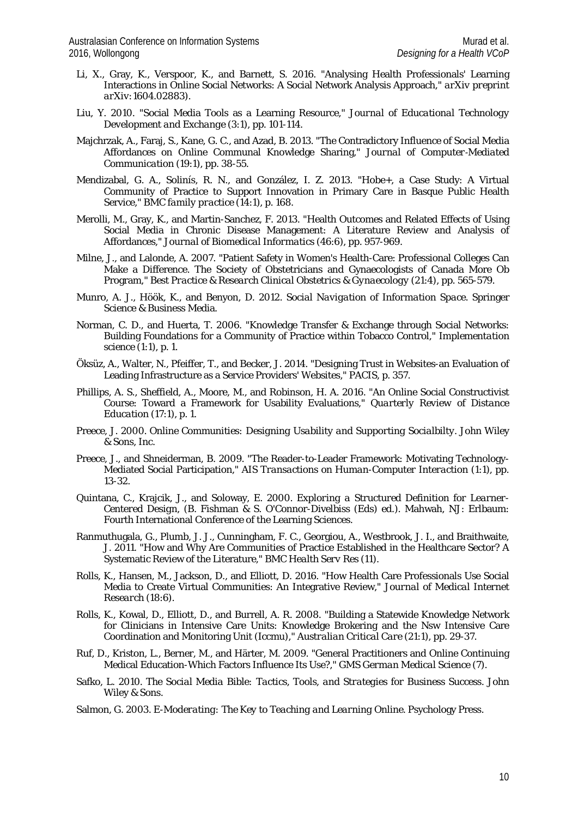- Li, X., Gray, K., Verspoor, K., and Barnett, S. 2016. "Analysing Health Professionals' Learning Interactions in Online Social Networks: A Social Network Analysis Approach," *arXiv preprint arXiv:1604.02883*).
- Liu, Y. 2010. "Social Media Tools as a Learning Resource," *Journal of Educational Technology Development and Exchange* (3:1), pp. 101-114.
- Majchrzak, A., Faraj, S., Kane, G. C., and Azad, B. 2013. "The Contradictory Influence of Social Media Affordances on Online Communal Knowledge Sharing," *Journal of Computer*‐*Mediated Communication* (19:1), pp. 38-55.
- Mendizabal, G. A., Solinís, R. N., and González, I. Z. 2013. "Hobe+, a Case Study: A Virtual Community of Practice to Support Innovation in Primary Care in Basque Public Health Service," *BMC family practice* (14:1), p. 168.
- Merolli, M., Gray, K., and Martin-Sanchez, F. 2013. "Health Outcomes and Related Effects of Using Social Media in Chronic Disease Management: A Literature Review and Analysis of Affordances," *Journal of Biomedical Informatics* (46:6), pp. 957-969.
- Milne, J., and Lalonde, A. 2007. "Patient Safety in Women's Health-Care: Professional Colleges Can Make a Difference. The Society of Obstetricians and Gynaecologists of Canada More Ob Program," *Best Practice & Research Clinical Obstetrics & Gynaecology* (21:4), pp. 565-579.
- Munro, A. J., Höök, K., and Benyon, D. 2012. *Social Navigation of Information Space*. Springer Science & Business Media.
- Norman, C. D., and Huerta, T. 2006. "Knowledge Transfer & Exchange through Social Networks: Building Foundations for a Community of Practice within Tobacco Control," *Implementation science* (1:1), p. 1.
- Öksüz, A., Walter, N., Pfeiffer, T., and Becker, J. 2014. "Designing Trust in Websites-an Evaluation of Leading Infrastructure as a Service Providers' Websites," *PACIS*, p. 357.
- Phillips, A. S., Sheffield, A., Moore, M., and Robinson, H. A. 2016. "An Online Social Constructivist Course: Toward a Framework for Usability Evaluations," *Quarterly Review of Distance Education* (17:1), p. 1.
- Preece, J. 2000. *Online Communities: Designing Usability and Supporting Socialbilty*. John Wiley & Sons, Inc.
- Preece, J., and Shneiderman, B. 2009. "The Reader-to-Leader Framework: Motivating Technology-Mediated Social Participation," *AIS Transactions on Human-Computer Interaction* (1:1), pp. 13-32.
- Quintana, C., Krajcik, J., and Soloway, E. 2000. *Exploring a Structured Definition for Learner-Centered Design*, (B. Fishman & S. O'Connor-Divelbiss (Eds) ed.). Mahwah, NJ: Erlbaum: Fourth International Conference of the Learning Sciences.
- Ranmuthugala, G., Plumb, J. J., Cunningham, F. C., Georgiou, A., Westbrook, J. I., and Braithwaite, J. 2011. "How and Why Are Communities of Practice Established in the Healthcare Sector? A Systematic Review of the Literature," *BMC Health Serv Res* (11).
- Rolls, K., Hansen, M., Jackson, D., and Elliott, D. 2016. "How Health Care Professionals Use Social Media to Create Virtual Communities: An Integrative Review," *Journal of Medical Internet Research* (18:6).
- Rolls, K., Kowal, D., Elliott, D., and Burrell, A. R. 2008. "Building a Statewide Knowledge Network for Clinicians in Intensive Care Units: Knowledge Brokering and the Nsw Intensive Care Coordination and Monitoring Unit (Iccmu)," *Australian Critical Care* (21:1), pp. 29-37.
- Ruf, D., Kriston, L., Berner, M., and Härter, M. 2009. "General Practitioners and Online Continuing Medical Education-Which Factors Influence Its Use?," *GMS German Medical Science* (7).
- Safko, L. 2010. *The Social Media Bible: Tactics, Tools, and Strategies for Business Success*. John Wiley & Sons.
- Salmon, G. 2003. *E-Moderating: The Key to Teaching and Learning Online*. Psychology Press.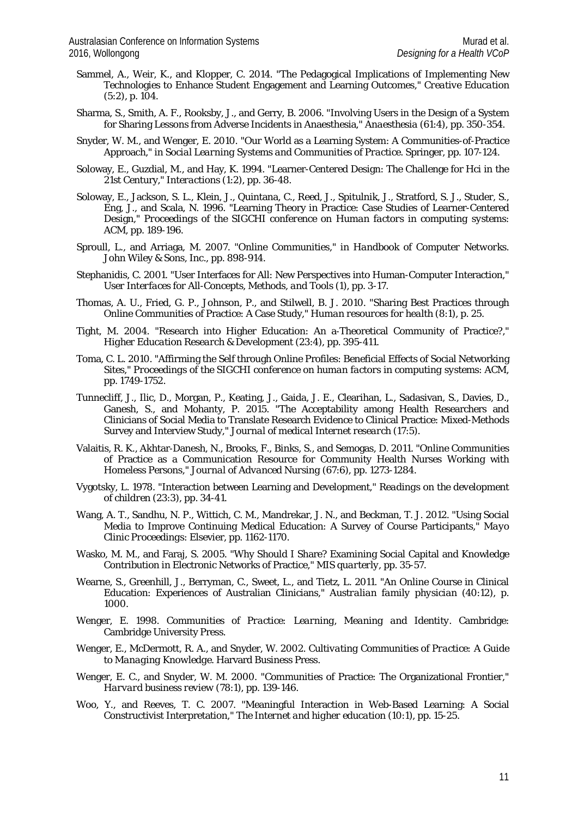- Sammel, A., Weir, K., and Klopper, C. 2014. "The Pedagogical Implications of Implementing New Technologies to Enhance Student Engagement and Learning Outcomes," *Creative Education* (5:2), p. 104.
- Sharma, S., Smith, A. F., Rooksby, J., and Gerry, B. 2006. "Involving Users in the Design of a System for Sharing Lessons from Adverse Incidents in Anaesthesia," *Anaesthesia* (61:4), pp. 350-354.
- Snyder, W. M., and Wenger, E. 2010. "Our World as a Learning System: A Communities-of-Practice Approach," in *Social Learning Systems and Communities of Practice*. Springer, pp. 107-124.
- Soloway, E., Guzdial, M., and Hay, K. 1994. "Learner-Centered Design: The Challenge for Hci in the 21st Century," *Interactions* (1:2), pp. 36-48.
- Soloway, E., Jackson, S. L., Klein, J., Quintana, C., Reed, J., Spitulnik, J., Stratford, S. J., Studer, S., Eng, J., and Scala, N. 1996. "Learning Theory in Practice: Case Studies of Learner-Centered Design," *Proceedings of the SIGCHI conference on Human factors in computing systems*: ACM, pp. 189-196.
- Sproull, L., and Arriaga, M. 2007. "Online Communities," in *Handbook of Computer Networks*. John Wiley & Sons, Inc., pp. 898-914.
- Stephanidis, C. 2001. "User Interfaces for All: New Perspectives into Human-Computer Interaction," *User Interfaces for All-Concepts, Methods, and Tools* (1), pp. 3-17.
- Thomas, A. U., Fried, G. P., Johnson, P., and Stilwell, B. J. 2010. "Sharing Best Practices through Online Communities of Practice: A Case Study," *Human resources for health* (8:1), p. 25.
- Tight, M. 2004. "Research into Higher Education: An a‐Theoretical Community of Practice?," *Higher Education Research & Development* (23:4), pp. 395-411.
- Toma, C. L. 2010. "Affirming the Self through Online Profiles: Beneficial Effects of Social Networking Sites," *Proceedings of the SIGCHI conference on human factors in computing systems*: ACM, pp. 1749-1752.
- Tunnecliff, J., Ilic, D., Morgan, P., Keating, J., Gaida, J. E., Clearihan, L., Sadasivan, S., Davies, D., Ganesh, S., and Mohanty, P. 2015. "The Acceptability among Health Researchers and Clinicians of Social Media to Translate Research Evidence to Clinical Practice: Mixed-Methods Survey and Interview Study," *Journal of medical Internet research* (17:5).
- Valaitis, R. K., Akhtar‐Danesh, N., Brooks, F., Binks, S., and Semogas, D. 2011. "Online Communities of Practice as a Communication Resource for Community Health Nurses Working with Homeless Persons," *Journal of Advanced Nursing* (67:6), pp. 1273-1284.
- Vygotsky, L. 1978. "Interaction between Learning and Development," *Readings on the development of children* (23:3), pp. 34-41.
- Wang, A. T., Sandhu, N. P., Wittich, C. M., Mandrekar, J. N., and Beckman, T. J. 2012. "Using Social Media to Improve Continuing Medical Education: A Survey of Course Participants," *Mayo Clinic Proceedings*: Elsevier, pp. 1162-1170.
- Wasko, M. M., and Faraj, S. 2005. "Why Should I Share? Examining Social Capital and Knowledge Contribution in Electronic Networks of Practice," *MIS quarterly*, pp. 35-57.
- Wearne, S., Greenhill, J., Berryman, C., Sweet, L., and Tietz, L. 2011. "An Online Course in Clinical Education: Experiences of Australian Clinicians," *Australian family physician* (40:12), p. 1000.
- Wenger, E. 1998. *Communities of Practice: Learning, Meaning and Identity*. Cambridge: Cambridge University Press.
- Wenger, E., McDermott, R. A., and Snyder, W. 2002. *Cultivating Communities of Practice: A Guide to Managing Knowledge*. Harvard Business Press.
- Wenger, E. C., and Snyder, W. M. 2000. "Communities of Practice: The Organizational Frontier," *Harvard business review* (78:1), pp. 139-146.
- Woo, Y., and Reeves, T. C. 2007. "Meaningful Interaction in Web-Based Learning: A Social Constructivist Interpretation," *The Internet and higher education* (10:1), pp. 15-25.